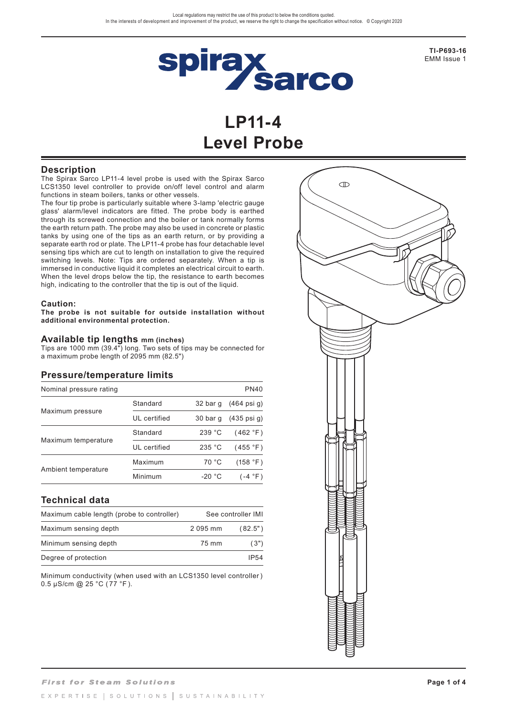

**TI-P693-16** EMM Issue 1

# **LP11-4 Level Probe**

## **Description**

The Spirax Sarco LP11-4 level probe is used with the Spirax Sarco LCS1350 level controller to provide on/off level control and alarm functions in steam boilers, tanks or other vessels.

The four tip probe is particularly suitable where 3-lamp 'electric gauge glass' alarm/level indicators are fitted. The probe body is earthed through its screwed connection and the boiler or tank normally forms the earth return path. The probe may also be used in concrete or plastic tanks by using one of the tips as an earth return, or by providing a separate earth rod or plate. The LP11-4 probe has four detachable level sensing tips which are cut to length on installation to give the required switching levels. Note: Tips are ordered separately. When a tip is immersed in conductive liquid it completes an electrical circuit to earth. When the level drops below the tip, the resistance to earth becomes high, indicating to the controller that the tip is out of the liquid.

#### **Caution:**

**The probe is not suitable for outside installation without additional environmental protection.**

### **Available tip lengths mm (inches)**

Tips are 1000 mm (39.4") long. Two sets of tips may be connected for a maximum probe length of 2095 mm (82.5")

## **Pressure/temperature limits**

| Nominal pressure rating |              |          | <b>PN40</b>            |
|-------------------------|--------------|----------|------------------------|
| Maximum pressure        | Standard     | 32 bar g | $(464 \text{ psi } q)$ |
|                         | UL certified | 30 bar g | $(435 \text{ psi } q)$ |
| Maximum temperature     | Standard     | 239 °C   | (462 °F)               |
|                         | UL certified | 235 °C   | (455 °F)               |
| Ambient temperature     | Maximum      | 70 °C    | (158 °F)               |
|                         | Minimum      | $-20 °C$ | $(-4 °F)$              |

## **Technical data**

| Maximum cable length (probe to controller) |          | See controller IMI |
|--------------------------------------------|----------|--------------------|
| Maximum sensing depth                      | 2 095 mm | (82.5")            |
| Minimum sensing depth                      | 75 mm    | (3")               |
| Degree of protection                       |          | IP54               |

Minimum conductivity (when used with an LCS1350 level controller ) 0.5 µS/cm @ 25 °C ( 77 °F ).

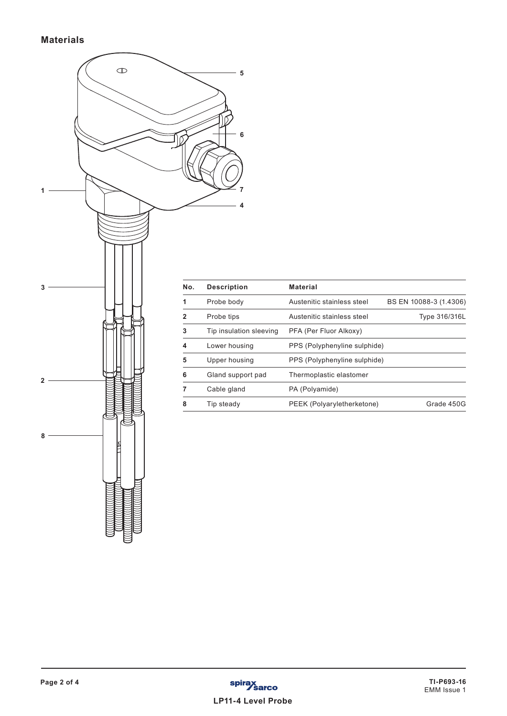

| No.            | <b>Description</b>      | <b>Material</b>              |                        |
|----------------|-------------------------|------------------------------|------------------------|
| 1              | Probe body              | Austenitic stainless steel   | BS EN 10088-3 (1.4306) |
| $\overline{2}$ | Probe tips              | Austenitic stainless steel   | Type 316/316L          |
| 3              | Tip insulation sleeving | PFA (Per Fluor Alkoxy)       |                        |
| 4              | Lower housing           | PPS (Polyphenyline sulphide) |                        |
| 5              | Upper housing           | PPS (Polyphenyline sulphide) |                        |
| 6              | Gland support pad       | Thermoplastic elastomer      |                        |
| 7              | Cable gland             | PA (Polyamide)               |                        |
| 8              | Tip steady              | PEEK (Polyaryletherketone)   | Grade 450G             |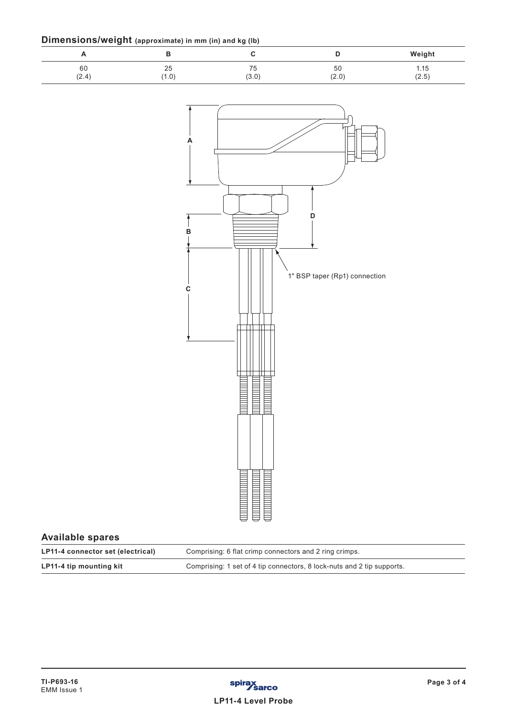| Dimensions/weight (approximate) in mm (in) and kg (lb) |  |  |
|--------------------------------------------------------|--|--|
|--------------------------------------------------------|--|--|

| <u>.</u><br>n | .           | $\sim$ $\sim$     | υ                    | Weight        |
|---------------|-------------|-------------------|----------------------|---------------|
| 60<br>(2.4)   | 25<br>(1.0) | --<br>61<br>(3.0) | 50<br>(2.0)<br>(∠.∪, | 1.15<br>(2.5) |



## **Available spares**

| LP11-4 connector set (electrical) | Comprising: 6 flat crimp connectors and 2 ring crimps.                 |
|-----------------------------------|------------------------------------------------------------------------|
| LP11-4 tip mounting kit           | Comprising: 1 set of 4 tip connectors, 8 lock-nuts and 2 tip supports. |